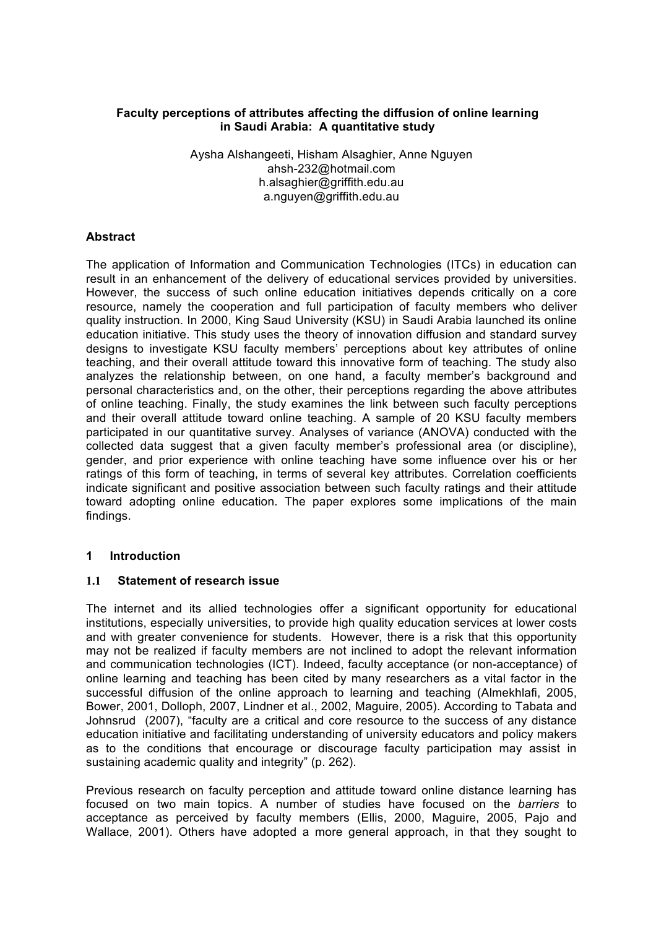# **Faculty perceptions of attributes affecting the diffusion of online learning in Saudi Arabia: A quantitative study**

Aysha Alshangeeti, Hisham Alsaghier, Anne Nguyen ahsh-232@hotmail.com h.alsaghier@griffith.edu.au a.nguyen@griffith.edu.au

## **Abstract**

The application of Information and Communication Technologies (ITCs) in education can result in an enhancement of the delivery of educational services provided by universities. However, the success of such online education initiatives depends critically on a core resource, namely the cooperation and full participation of faculty members who deliver quality instruction. In 2000, King Saud University (KSU) in Saudi Arabia launched its online education initiative. This study uses the theory of innovation diffusion and standard survey designs to investigate KSU faculty members' perceptions about key attributes of online teaching, and their overall attitude toward this innovative form of teaching. The study also analyzes the relationship between, on one hand, a faculty member's background and personal characteristics and, on the other, their perceptions regarding the above attributes of online teaching. Finally, the study examines the link between such faculty perceptions and their overall attitude toward online teaching. A sample of 20 KSU faculty members participated in our quantitative survey. Analyses of variance (ANOVA) conducted with the collected data suggest that a given faculty member's professional area (or discipline), gender, and prior experience with online teaching have some influence over his or her ratings of this form of teaching, in terms of several key attributes. Correlation coefficients indicate significant and positive association between such faculty ratings and their attitude toward adopting online education. The paper explores some implications of the main findings.

### **1 Introduction**

### **1.1 Statement of research issue**

The internet and its allied technologies offer a significant opportunity for educational institutions, especially universities, to provide high quality education services at lower costs and with greater convenience for students. However, there is a risk that this opportunity may not be realized if faculty members are not inclined to adopt the relevant information and communication technologies (ICT). Indeed, faculty acceptance (or non-acceptance) of online learning and teaching has been cited by many researchers as a vital factor in the successful diffusion of the online approach to learning and teaching (Almekhlafi, 2005, Bower, 2001, Dolloph, 2007, Lindner et al., 2002, Maguire, 2005). According to Tabata and Johnsrud (2007), "faculty are a critical and core resource to the success of any distance education initiative and facilitating understanding of university educators and policy makers as to the conditions that encourage or discourage faculty participation may assist in sustaining academic quality and integrity" (p. 262).

Previous research on faculty perception and attitude toward online distance learning has focused on two main topics. A number of studies have focused on the *barriers* to acceptance as perceived by faculty members (Ellis, 2000, Maguire, 2005, Pajo and Wallace, 2001). Others have adopted a more general approach, in that they sought to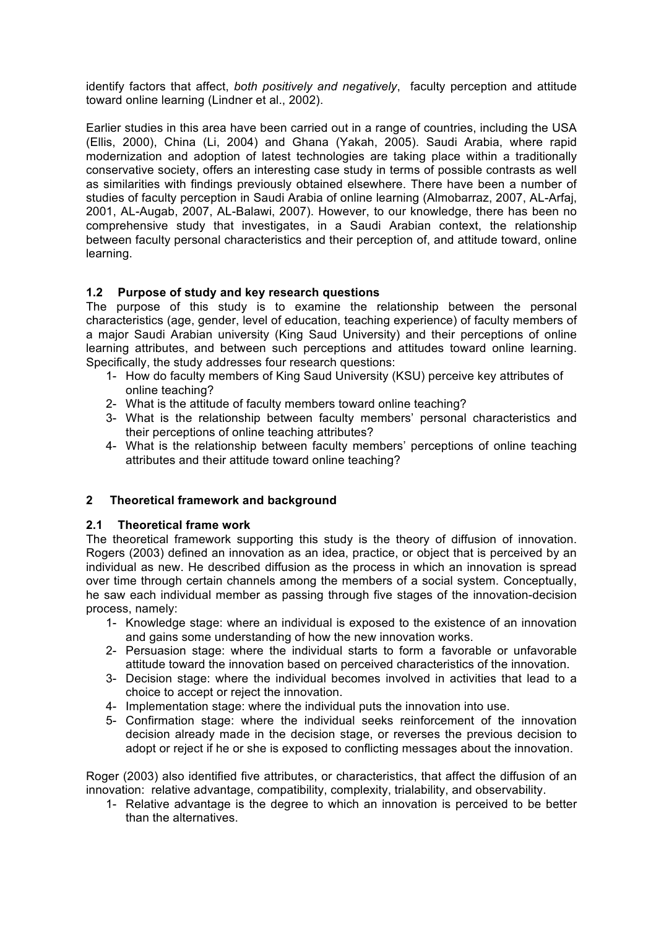identify factors that affect, *both positively and negatively*, faculty perception and attitude toward online learning (Lindner et al., 2002).

Earlier studies in this area have been carried out in a range of countries, including the USA (Ellis, 2000), China (Li, 2004) and Ghana (Yakah, 2005). Saudi Arabia, where rapid modernization and adoption of latest technologies are taking place within a traditionally conservative society, offers an interesting case study in terms of possible contrasts as well as similarities with findings previously obtained elsewhere. There have been a number of studies of faculty perception in Saudi Arabia of online learning (Almobarraz, 2007, AL-Arfaj, 2001, AL-Augab, 2007, AL-Balawi, 2007). However, to our knowledge, there has been no comprehensive study that investigates, in a Saudi Arabian context, the relationship between faculty personal characteristics and their perception of, and attitude toward, online learning.

# **1.2 Purpose of study and key research questions**

The purpose of this study is to examine the relationship between the personal characteristics (age, gender, level of education, teaching experience) of faculty members of a major Saudi Arabian university (King Saud University) and their perceptions of online learning attributes, and between such perceptions and attitudes toward online learning. Specifically, the study addresses four research questions:

- 1- How do faculty members of King Saud University (KSU) perceive key attributes of online teaching?
- 2- What is the attitude of faculty members toward online teaching?
- 3- What is the relationship between faculty members' personal characteristics and their perceptions of online teaching attributes?
- 4- What is the relationship between faculty members' perceptions of online teaching attributes and their attitude toward online teaching?

# **2 Theoretical framework and background**

# **2.1 Theoretical frame work**

The theoretical framework supporting this study is the theory of diffusion of innovation. Rogers (2003) defined an innovation as an idea, practice, or object that is perceived by an individual as new. He described diffusion as the process in which an innovation is spread over time through certain channels among the members of a social system. Conceptually, he saw each individual member as passing through five stages of the innovation-decision process, namely:

- 1- Knowledge stage: where an individual is exposed to the existence of an innovation and gains some understanding of how the new innovation works.
- 2- Persuasion stage: where the individual starts to form a favorable or unfavorable attitude toward the innovation based on perceived characteristics of the innovation.
- 3- Decision stage: where the individual becomes involved in activities that lead to a choice to accept or reject the innovation.
- 4- Implementation stage: where the individual puts the innovation into use.
- 5- Confirmation stage: where the individual seeks reinforcement of the innovation decision already made in the decision stage, or reverses the previous decision to adopt or reject if he or she is exposed to conflicting messages about the innovation.

Roger (2003) also identified five attributes, or characteristics, that affect the diffusion of an innovation: relative advantage, compatibility, complexity, trialability, and observability.

1- Relative advantage is the degree to which an innovation is perceived to be better than the alternatives.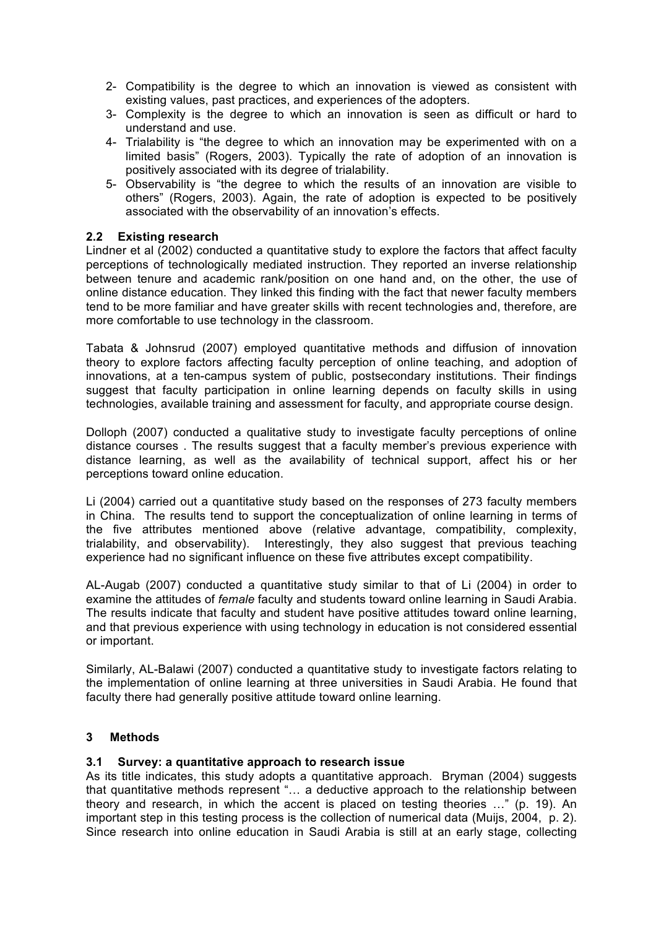- 2- Compatibility is the degree to which an innovation is viewed as consistent with existing values, past practices, and experiences of the adopters.
- 3- Complexity is the degree to which an innovation is seen as difficult or hard to understand and use.
- 4- Trialability is "the degree to which an innovation may be experimented with on a limited basis" (Rogers, 2003). Typically the rate of adoption of an innovation is positively associated with its degree of trialability.
- 5- Observability is "the degree to which the results of an innovation are visible to others" (Rogers, 2003). Again, the rate of adoption is expected to be positively associated with the observability of an innovation's effects.

# **2.2 Existing research**

Lindner et al (2002) conducted a quantitative study to explore the factors that affect faculty perceptions of technologically mediated instruction. They reported an inverse relationship between tenure and academic rank/position on one hand and, on the other, the use of online distance education. They linked this finding with the fact that newer faculty members tend to be more familiar and have greater skills with recent technologies and, therefore, are more comfortable to use technology in the classroom.

Tabata & Johnsrud (2007) employed quantitative methods and diffusion of innovation theory to explore factors affecting faculty perception of online teaching, and adoption of innovations, at a ten-campus system of public, postsecondary institutions. Their findings suggest that faculty participation in online learning depends on faculty skills in using technologies, available training and assessment for faculty, and appropriate course design.

Dolloph (2007) conducted a qualitative study to investigate faculty perceptions of online distance courses . The results suggest that a faculty member's previous experience with distance learning, as well as the availability of technical support, affect his or her perceptions toward online education.

Li (2004) carried out a quantitative study based on the responses of 273 faculty members in China. The results tend to support the conceptualization of online learning in terms of the five attributes mentioned above (relative advantage, compatibility, complexity, trialability, and observability). Interestingly, they also suggest that previous teaching experience had no significant influence on these five attributes except compatibility.

AL-Augab (2007) conducted a quantitative study similar to that of Li (2004) in order to examine the attitudes of *female* faculty and students toward online learning in Saudi Arabia. The results indicate that faculty and student have positive attitudes toward online learning, and that previous experience with using technology in education is not considered essential or important.

Similarly, AL-Balawi (2007) conducted a quantitative study to investigate factors relating to the implementation of online learning at three universities in Saudi Arabia. He found that faculty there had generally positive attitude toward online learning.

# **3 Methods**

# **3.1 Survey: a quantitative approach to research issue**

As its title indicates, this study adopts a quantitative approach. Bryman (2004) suggests that quantitative methods represent "… a deductive approach to the relationship between theory and research, in which the accent is placed on testing theories …" (p. 19). An important step in this testing process is the collection of numerical data (Muijs, 2004, p. 2). Since research into online education in Saudi Arabia is still at an early stage, collecting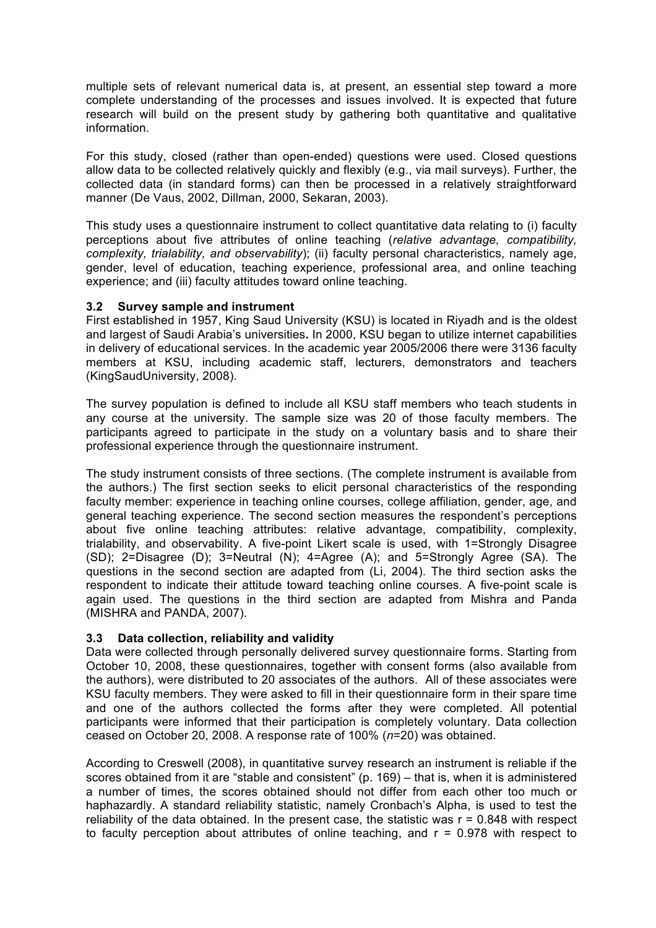multiple sets of relevant numerical data is, at present, an essential step toward a more complete understanding of the processes and issues involved. It is expected that future research will build on the present study by gathering both quantitative and qualitative information.

For this study, closed (rather than open-ended) questions were used. Closed questions allow data to be collected relatively quickly and flexibly (e.g., via mail surveys). Further, the collected data (in standard forms) can then be processed in a relatively straightforward manner (De Vaus, 2002, Dillman, 2000, Sekaran, 2003).

This study uses a questionnaire instrument to collect quantitative data relating to (i) faculty perceptions about five attributes of online teaching (*relative advantage, compatibility, complexity, trialability, and observability*); (ii) faculty personal characteristics, namely age, gender, level of education, teaching experience, professional area, and online teaching experience; and (iii) faculty attitudes toward online teaching.

## **3.2 Survey sample and instrument**

First established in 1957, King Saud University (KSU) is located in Riyadh and is the oldest and largest of Saudi Arabia's universities**.** In 2000, KSU began to utilize internet capabilities in delivery of educational services. In the academic year 2005/2006 there were 3136 faculty members at KSU, including academic staff, lecturers, demonstrators and teachers (KingSaudUniversity, 2008).

The survey population is defined to include all KSU staff members who teach students in any course at the university. The sample size was 20 of those faculty members. The participants agreed to participate in the study on a voluntary basis and to share their professional experience through the questionnaire instrument.

The study instrument consists of three sections. (The complete instrument is available from the authors.) The first section seeks to elicit personal characteristics of the responding faculty member: experience in teaching online courses, college affiliation, gender, age, and general teaching experience. The second section measures the respondent's perceptions about five online teaching attributes: relative advantage, compatibility, complexity, trialability, and observability. A five-point Likert scale is used, with 1=Strongly Disagree (SD); 2=Disagree (D); 3=Neutral (N); 4=Agree (A); and 5=Strongly Agree (SA). The questions in the second section are adapted from (Li, 2004). The third section asks the respondent to indicate their attitude toward teaching online courses. A five-point scale is again used. The questions in the third section are adapted from Mishra and Panda (MISHRA and PANDA, 2007).

# **3.3 Data collection, reliability and validity**

Data were collected through personally delivered survey questionnaire forms. Starting from October 10, 2008, these questionnaires, together with consent forms (also available from the authors), were distributed to 20 associates of the authors. All of these associates were KSU faculty members. They were asked to fill in their questionnaire form in their spare time and one of the authors collected the forms after they were completed. All potential participants were informed that their participation is completely voluntary. Data collection ceased on October 20, 2008. A response rate of 100% (*n*=20) was obtained.

According to Creswell (2008), in quantitative survey research an instrument is reliable if the scores obtained from it are "stable and consistent" (p. 169) – that is, when it is administered a number of times, the scores obtained should not differ from each other too much or haphazardly. A standard reliability statistic, namely Cronbach's Alpha, is used to test the reliability of the data obtained. In the present case, the statistic was  $r = 0.848$  with respect to faculty perception about attributes of online teaching, and  $r = 0.978$  with respect to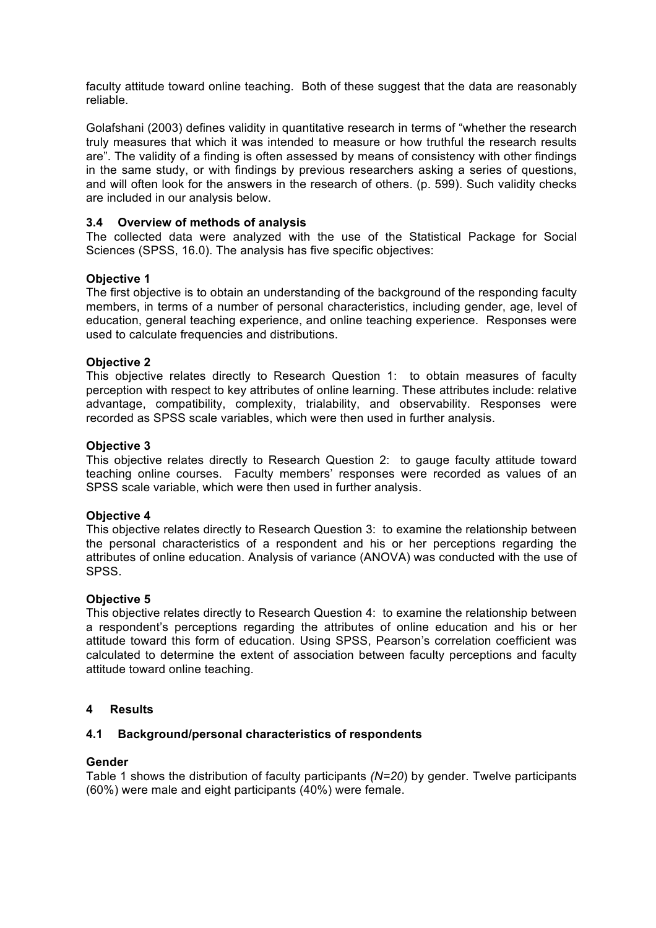faculty attitude toward online teaching. Both of these suggest that the data are reasonably reliable.

Golafshani (2003) defines validity in quantitative research in terms of "whether the research truly measures that which it was intended to measure or how truthful the research results are". The validity of a finding is often assessed by means of consistency with other findings in the same study, or with findings by previous researchers asking a series of questions, and will often look for the answers in the research of others. (p. 599). Such validity checks are included in our analysis below.

# **3.4 Overview of methods of analysis**

The collected data were analyzed with the use of the Statistical Package for Social Sciences (SPSS, 16.0). The analysis has five specific objectives:

## **Objective 1**

The first objective is to obtain an understanding of the background of the responding faculty members, in terms of a number of personal characteristics, including gender, age, level of education, general teaching experience, and online teaching experience. Responses were used to calculate frequencies and distributions.

## **Objective 2**

This objective relates directly to Research Question 1: to obtain measures of faculty perception with respect to key attributes of online learning. These attributes include: relative advantage, compatibility, complexity, trialability, and observability. Responses were recorded as SPSS scale variables, which were then used in further analysis.

### **Objective 3**

This objective relates directly to Research Question 2: to gauge faculty attitude toward teaching online courses. Faculty members' responses were recorded as values of an SPSS scale variable, which were then used in further analysis.

### **Objective 4**

This objective relates directly to Research Question 3: to examine the relationship between the personal characteristics of a respondent and his or her perceptions regarding the attributes of online education. Analysis of variance (ANOVA) was conducted with the use of SPSS.

### **Objective 5**

This objective relates directly to Research Question 4: to examine the relationship between a respondent's perceptions regarding the attributes of online education and his or her attitude toward this form of education. Using SPSS, Pearson's correlation coefficient was calculated to determine the extent of association between faculty perceptions and faculty attitude toward online teaching.

### **4 Results**

### **4.1 Background/personal characteristics of respondents**

### **Gender**

Table 1 shows the distribution of faculty participants *(N=20*) by gender. Twelve participants (60%) were male and eight participants (40%) were female.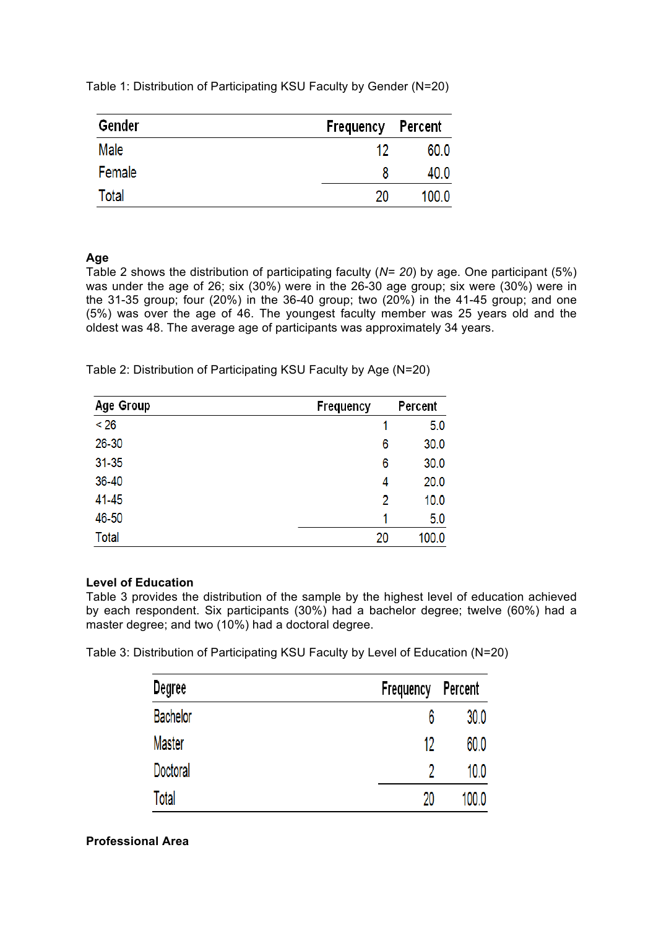Table 1: Distribution of Participating KSU Faculty by Gender (N=20)

| Gender | Frequency Percent |       |
|--------|-------------------|-------|
| Male   | 12                | 60.0  |
| Female | 8                 | 40.0  |
| Total  | 20                | 100.0 |

# **Age**

Table 2 shows the distribution of participating faculty (*N= 20*) by age. One participant (5%) was under the age of 26; six (30%) were in the 26-30 age group; six were (30%) were in the 31-35 group; four (20%) in the 36-40 group; two (20%) in the 41-45 group; and one (5%) was over the age of 46. The youngest faculty member was 25 years old and the oldest was 48. The average age of participants was approximately 34 years.

Table 2: Distribution of Participating KSU Faculty by Age (N=20)

| Age Group    | Frequency | Percent |
|--------------|-----------|---------|
| < 26         |           | 5.0     |
| 26-30        | 6         | 30.0    |
| $31 - 35$    | 6         | 30.0    |
| 36-40        | 4         | 20.0    |
| 41-45        | 2         | 10.0    |
| 46-50        | 1         | 5.0     |
| <b>Total</b> | 20        | 100.0   |

# **Level of Education**

Table 3 provides the distribution of the sample by the highest level of education achieved by each respondent. Six participants (30%) had a bachelor degree; twelve (60%) had a master degree; and two (10%) had a doctoral degree.

Table 3: Distribution of Participating KSU Faculty by Level of Education (N=20)

| Degree          | Frequency | Percent |
|-----------------|-----------|---------|
| <b>Bachelor</b> | 6         | 30.0    |
| Master          | 12        | 60.0    |
| Doctoral        |           | 10.0    |
| <b>Total</b>    | 20        | 100.0   |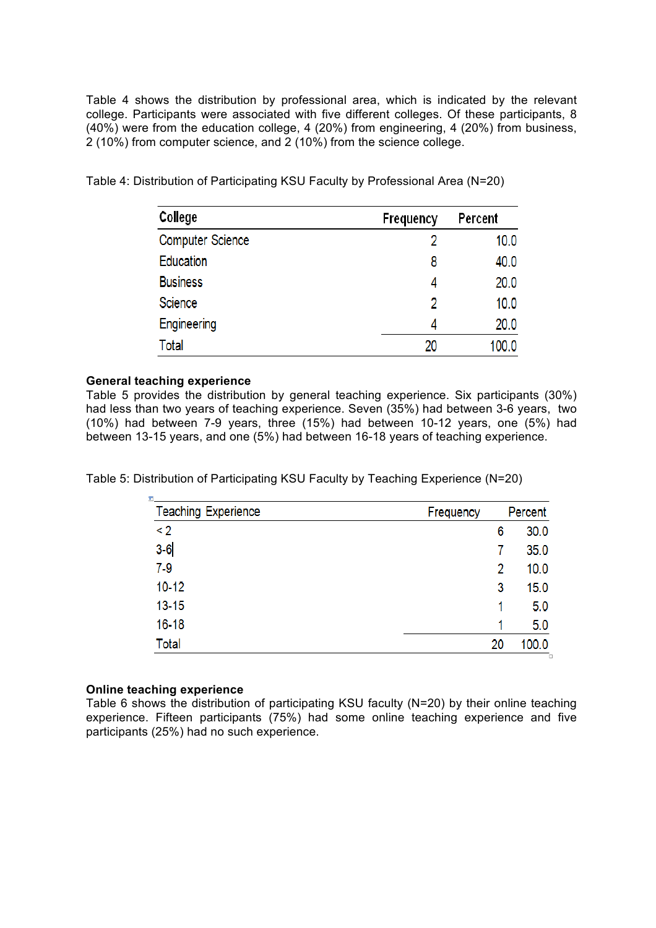Table 4 shows the distribution by professional area, which is indicated by the relevant college. Participants were associated with five different colleges. Of these participants, 8 (40%) were from the education college, 4 (20%) from engineering, 4 (20%) from business, 2 (10%) from computer science, and 2 (10%) from the science college.

| College                 | Frequency | Percent |
|-------------------------|-----------|---------|
| <b>Computer Science</b> |           | 10.0    |
| <b>Education</b>        | 8         | 40.0    |
| <b>Business</b>         |           | 20.0    |
| Science                 | 2         | 10.0    |
| Engineering             | 4         | 20.0    |
| Total                   | 20        | 100.0   |

Table 4: Distribution of Participating KSU Faculty by Professional Area (N=20)

## **General teaching experience**

Table 5 provides the distribution by general teaching experience. Six participants (30%) had less than two years of teaching experience. Seven (35%) had between 3-6 years, two (10%) had between 7-9 years, three (15%) had between 10-12 years, one (5%) had between 13-15 years, and one (5%) had between 16-18 years of teaching experience.

Table 5: Distribution of Participating KSU Faculty by Teaching Experience (N=20)

| <b>Teaching Experience</b> | Frequency | Percent |       |  |
|----------------------------|-----------|---------|-------|--|
| $\leq$ 2                   |           | 6       | 30.0  |  |
| $3-6$                      |           |         | 35.0  |  |
| $7-9$                      |           | 2       | 10.0  |  |
| $10 - 12$                  |           | 3       | 15.0  |  |
| $13 - 15$                  |           |         | 5.0   |  |
| $16 - 18$                  |           |         | 5.0   |  |
| Total                      | 20        |         | 100.0 |  |

### **Online teaching experience**

Table 6 shows the distribution of participating KSU faculty (N=20) by their online teaching experience. Fifteen participants (75%) had some online teaching experience and five participants (25%) had no such experience.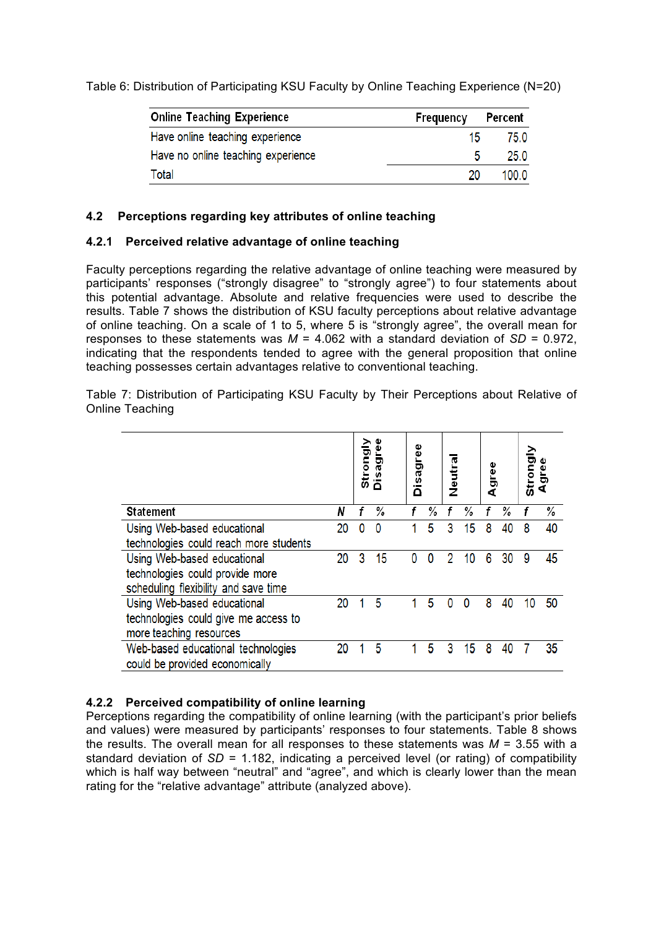Table 6: Distribution of Participating KSU Faculty by Online Teaching Experience (N=20)

| <b>Online Teaching Experience</b>  | Frequency | Percent |
|------------------------------------|-----------|---------|
| Have online teaching experience    | 15.       | 75.0    |
| Have no online teaching experience | 5         | 25.0    |
| Total                              | 20        | 100.0   |

# **4.2 Perceptions regarding key attributes of online teaching**

# **4.2.1 Perceived relative advantage of online teaching**

Faculty perceptions regarding the relative advantage of online teaching were measured by participants' responses ("strongly disagree" to "strongly agree") to four statements about this potential advantage. Absolute and relative frequencies were used to describe the results. Table 7 shows the distribution of KSU faculty perceptions about relative advantage of online teaching. On a scale of 1 to 5, where 5 is "strongly agree", the overall mean for responses to these statements was  $M = 4.062$  with a standard deviation of  $SD = 0.972$ , indicating that the respondents tended to agree with the general proposition that online teaching possesses certain advantages relative to conventional teaching.

Table 7: Distribution of Participating KSU Faculty by Their Perceptions about Relative of Online Teaching

|                                        |    |   | Strongly<br>Disagre |  | Disagree |          |   |    |   |    |    |    |  |  | Neutra |  | gree<br>⋖ |  | Strongly | ğrei |
|----------------------------------------|----|---|---------------------|--|----------|----------|---|----|---|----|----|----|--|--|--------|--|-----------|--|----------|------|
| Statement                              | Ν  | f | %                   |  |          | %        |   | %  |   | %  |    | %  |  |  |        |  |           |  |          |      |
| Using Web-based educational            | 20 | 0 | $\mathbf{0}$        |  |          | 5        | 3 | 15 | 8 | 40 | 8  | 40 |  |  |        |  |           |  |          |      |
| technologies could reach more students |    |   |                     |  |          |          |   |    |   |    |    |    |  |  |        |  |           |  |          |      |
| Using Web-based educational            | 20 | 3 | 15                  |  | 0        | $\Omega$ | 2 | 10 | 6 | 30 | 9  | 45 |  |  |        |  |           |  |          |      |
| technologies could provide more        |    |   |                     |  |          |          |   |    |   |    |    |    |  |  |        |  |           |  |          |      |
| scheduling flexibility and save time   |    |   |                     |  |          |          |   |    |   |    |    |    |  |  |        |  |           |  |          |      |
| Using Web-based educational            | 20 |   | 5                   |  |          | 5        | n | n  | 8 | 40 | 10 | 50 |  |  |        |  |           |  |          |      |
| technologies could give me access to   |    |   |                     |  |          |          |   |    |   |    |    |    |  |  |        |  |           |  |          |      |
| more teaching resources                |    |   |                     |  |          |          |   |    |   |    |    |    |  |  |        |  |           |  |          |      |
| Web-based educational technologies     | 20 |   | 5                   |  |          | 5        | 3 | 15 | 8 | 40 |    | 35 |  |  |        |  |           |  |          |      |
| could be provided economically         |    |   |                     |  |          |          |   |    |   |    |    |    |  |  |        |  |           |  |          |      |

# **4.2.2 Perceived compatibility of online learning**

Perceptions regarding the compatibility of online learning (with the participant's prior beliefs and values) were measured by participants' responses to four statements. Table 8 shows the results. The overall mean for all responses to these statements was  $M = 3.55$  with a standard deviation of *SD* = 1.182, indicating a perceived level (or rating) of compatibility which is half way between "neutral" and "agree", and which is clearly lower than the mean rating for the "relative advantage" attribute (analyzed above).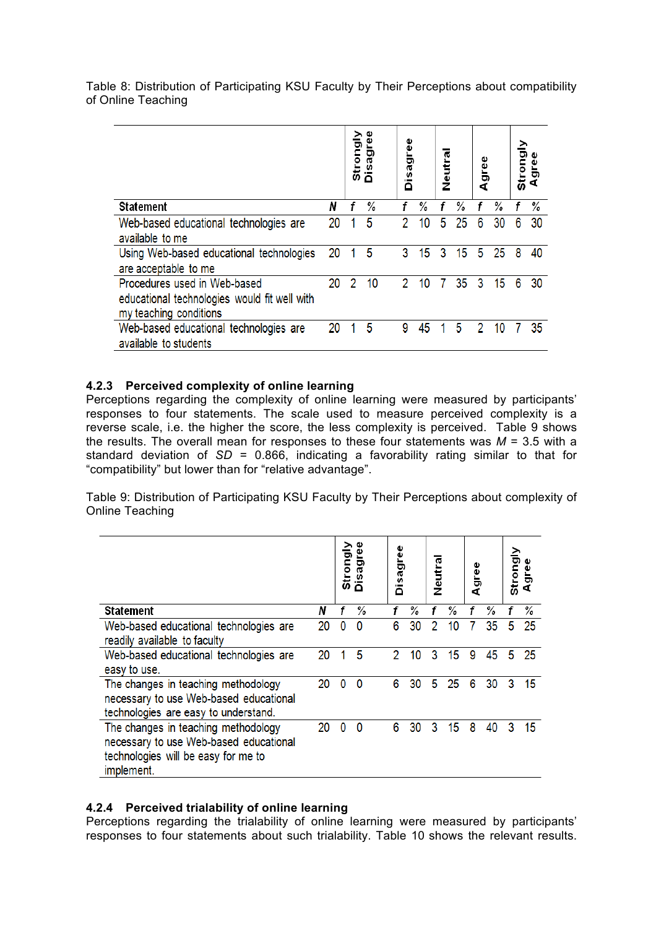Table 8: Distribution of Participating KSU Faculty by Their Perceptions about compatibility of Online Teaching

|                                                                                                        |    |   | Strongly<br>Disagree |  | Disagree |    | Neutral |    | gree<br>⋖ |    | Strongly |    |
|--------------------------------------------------------------------------------------------------------|----|---|----------------------|--|----------|----|---------|----|-----------|----|----------|----|
| <b>Statement</b>                                                                                       | N  |   | %                    |  |          | %  |         | %  |           | %  |          | %  |
| Web-based educational technologies are<br>available to me                                              | 20 |   | 5                    |  | 2        | 10 | 5       | 25 | 6         | 30 | 6        | 30 |
| Using Web-based educational technologies<br>are acceptable to me                                       | 20 |   | 5                    |  | 3        | 15 | 3       | 15 | 5         | 25 | 8        | 40 |
| Procedures used in Web-based<br>educational technologies would fit well with<br>my teaching conditions | 20 | 2 | 10                   |  | 2        | 10 |         | 35 | 3         | 15 | 6        | 30 |
| Web-based educational technologies are<br>available to students                                        | 20 |   | 5                    |  | 9        | 45 |         | 5  | 2         | 10 |          | 35 |

# **4.2.3 Perceived complexity of online learning**

Perceptions regarding the complexity of online learning were measured by participants' responses to four statements. The scale used to measure perceived complexity is a reverse scale, i.e. the higher the score, the less complexity is perceived. Table 9 shows the results. The overall mean for responses to these four statements was  $M = 3.5$  with a standard deviation of *SD* = 0.866, indicating a favorability rating similar to that for "compatibility" but lower than for "relative advantage".

Table 9: Distribution of Participating KSU Faculty by Their Perceptions about complexity of Online Teaching

|                                                                                                                                    |    | តី | Vlõuo.<br>ag<br>ة |   | Disagree |   | Neutral |   | Agree | Strongly |    |
|------------------------------------------------------------------------------------------------------------------------------------|----|----|-------------------|---|----------|---|---------|---|-------|----------|----|
| <b>Statement</b>                                                                                                                   | Ν  |    | %                 | f | %        |   | %       |   | %     |          | %  |
| Web-based educational technologies are<br>readily available to faculty                                                             | 20 | 0  | 0                 | 6 | 30       | 2 | 10      |   | 35    | 5        | 25 |
| Web-based educational technologies are<br>easy to use.                                                                             | 20 |    | 5                 | 2 | 10       | 3 | 15      | 9 | 45    | 5        | 25 |
| The changes in teaching methodology<br>necessary to use Web-based educational<br>technologies are easy to understand.              | 20 | 0  | $\Omega$          | 6 | 30       | 5 | 25      | 6 | 30    | 3        | 15 |
| The changes in teaching methodology<br>necessary to use Web-based educational<br>technologies will be easy for me to<br>implement. | 20 | 0  | 0                 | 6 | 30       | 3 | 15      | 8 | 40    | 3        | 15 |

# **4.2.4 Perceived trialability of online learning**

Perceptions regarding the trialability of online learning were measured by participants' responses to four statements about such trialability. Table 10 shows the relevant results.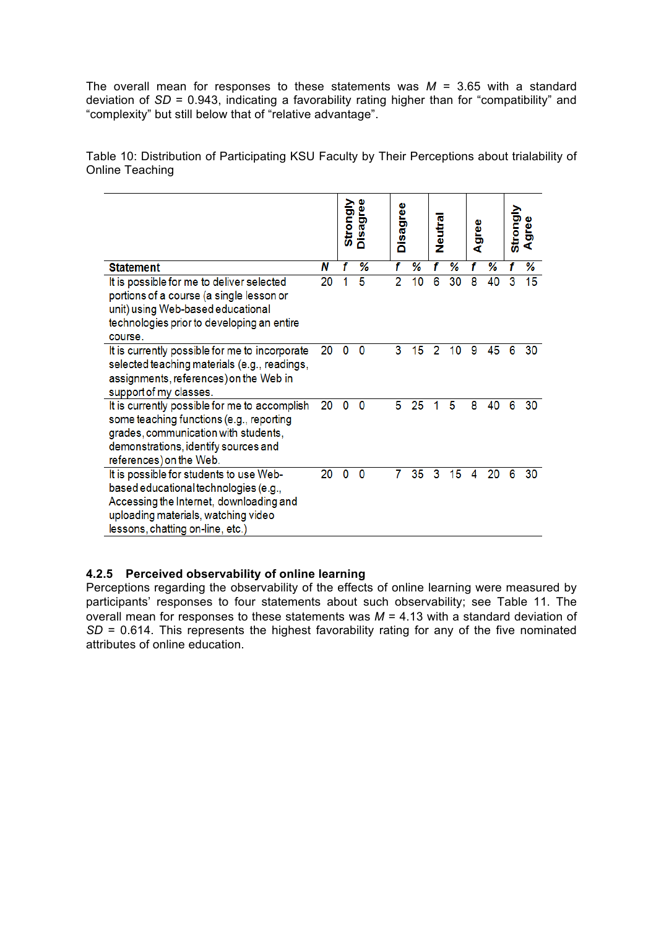The overall mean for responses to these statements was  $M = 3.65$  with a standard deviation of *SD* = 0.943, indicating a favorability rating higher than for "compatibility" and "complexity" but still below that of "relative advantage".

Table 10: Distribution of Participating KSU Faculty by Their Perceptions about trialability of Online Teaching

|                                                                                                                                                                                                        |    |   | Strongly<br>Disagree |                | Disagree |   | Neutra |   | gree<br>ď | Strongly | gree<br>ď |
|--------------------------------------------------------------------------------------------------------------------------------------------------------------------------------------------------------|----|---|----------------------|----------------|----------|---|--------|---|-----------|----------|-----------|
| <b>Statement</b>                                                                                                                                                                                       | Ν  | f | %                    | f              | %        | f | ℅      | f | %         | f        | %         |
| It is possible for me to deliver selected<br>portions of a course (a single lesson or<br>unit) using Web-based educational<br>technologies prior to developing an entire<br>course.                    | 20 |   | 5                    | $\overline{2}$ | 10       | 6 | 30     | 8 | 40        | 3        | 15        |
| It is currently possible for me to incorporate<br>selected teaching materials (e.g., readings,<br>assignments, references) on the Web in<br>support of my classes.                                     | 20 | 0 | 0                    | 3              | 15       | 2 | 10     | 9 | 45        | 6        | 30        |
| It is currently possible for me to accomplish<br>some teaching functions (e.g., reporting<br>grades, communication with students,<br>demonstrations, identify sources and<br>references) on the Web.   | 20 | 0 | 0                    | 5              | 25       | 1 | 5      | 8 | 40        | 6        | 30        |
| It is possible for students to use Web-<br>based educational technologies (e.g.,<br>Accessing the Internet, downloading and<br>uploading materials, watching video<br>lessons, chatting on-line, etc.) | 20 | 0 | 0                    | 7              | 35       | 3 | 15     | 4 | 20        | 6        | 30        |

# **4.2.5 Perceived observability of online learning**

Perceptions regarding the observability of the effects of online learning were measured by participants' responses to four statements about such observability; see Table 11. The overall mean for responses to these statements was *M* = 4.13 with a standard deviation of *SD* = 0.614. This represents the highest favorability rating for any of the five nominated attributes of online education.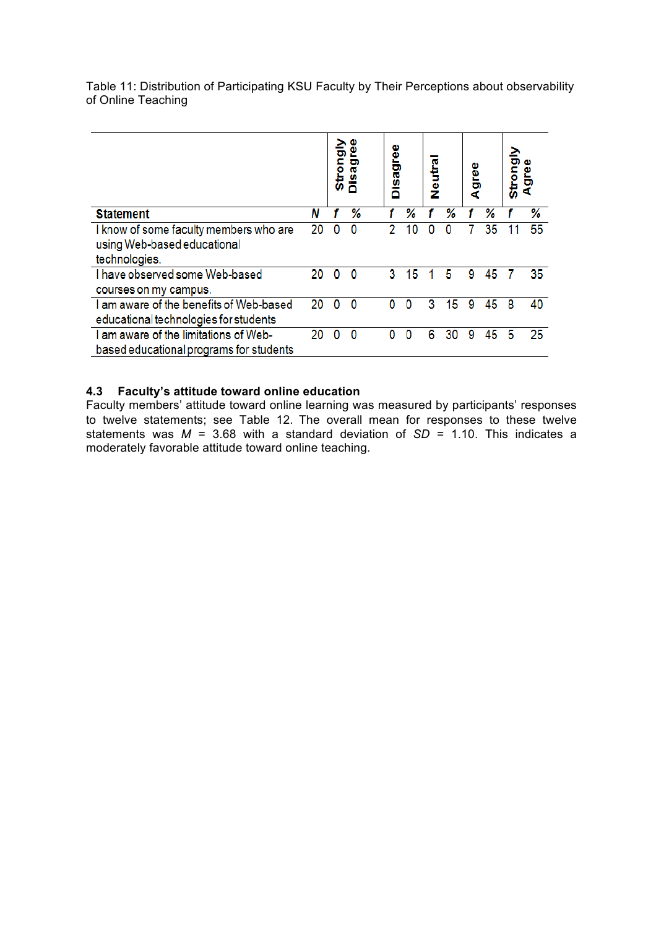|                                                                                        |    | Strongly<br>Disag |   |   | Disagree |   | Neutra |   |    | Agree |    | Stron |  |
|----------------------------------------------------------------------------------------|----|-------------------|---|---|----------|---|--------|---|----|-------|----|-------|--|
| <b>Statement</b>                                                                       | Ν  |                   | ℅ |   | ℅        |   | %      |   | ℅  |       | ℅  |       |  |
| I know of some faculty members who are<br>using Web-based educational<br>technologies. | 20 | 0                 | 0 |   | 10       |   | 0      |   | 35 |       | 55 |       |  |
| I have observed some Web-based<br>courses on my campus.                                | 20 | O                 |   | 3 | 15       |   | 5      | 9 | 45 |       | 35 |       |  |
| I am aware of the benefits of Web-based<br>educational technologies for students       | 20 | n                 |   | n | n        | 3 | 5      | 9 | 45 | 8     | 40 |       |  |
| I am aware of the limitations of Web-<br>based educational programs for students       | 20 | n                 | n | n | n        | 6 | 30     | 9 | 45 | 5     | 25 |       |  |

Table 11: Distribution of Participating KSU Faculty by Their Perceptions about observability of Online Teaching

# **4.3 Faculty's attitude toward online education**

Faculty members' attitude toward online learning was measured by participants' responses to twelve statements; see Table 12. The overall mean for responses to these twelve statements was *M* = 3.68 with a standard deviation of *SD* = 1.10. This indicates a moderately favorable attitude toward online teaching.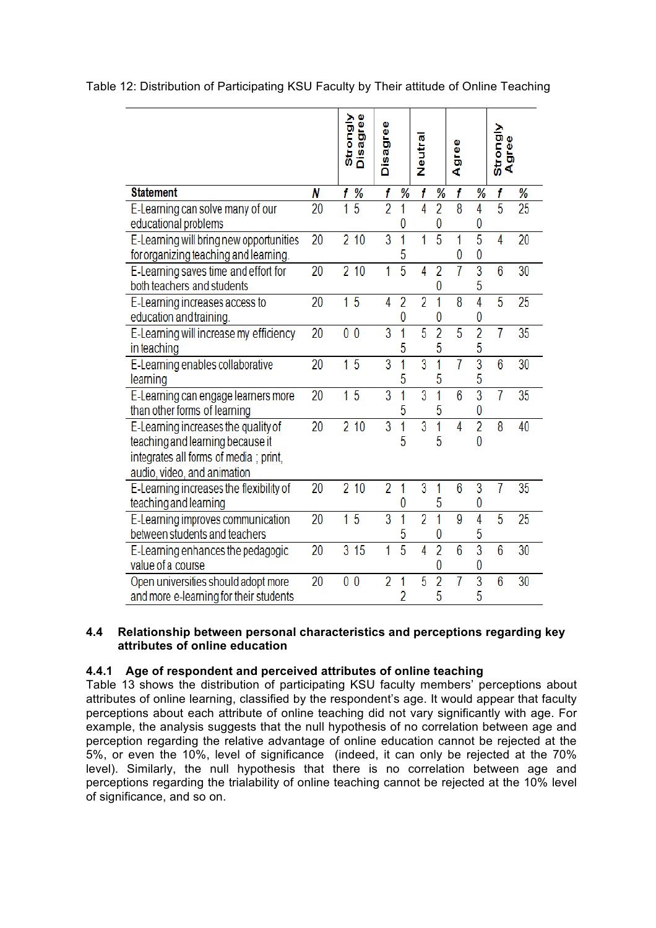|                                                                                                                                                 |    | Strongly<br>Disagree |                |                     |                |                     |                |                     |                |      |
|-------------------------------------------------------------------------------------------------------------------------------------------------|----|----------------------|----------------|---------------------|----------------|---------------------|----------------|---------------------|----------------|------|
|                                                                                                                                                 |    |                      | Disagree       |                     | Neutral        |                     | Agree          |                     | Strongly<br>4Ï | gree |
| <b>Statement</b>                                                                                                                                | N  | %<br>f               | f              | %                   | f              | %                   | f              | %                   | f              | %    |
| E-Learning can solve many of our<br>educational problems                                                                                        | 20 | 5<br>1               | $\overline{2}$ | 1<br>0              | 4              | $\overline{2}$<br>0 | $\overline{8}$ | 4<br>0              | $\overline{5}$ | 25   |
| E-Learning will bring new opportunities<br>for organizing teaching and learning.                                                                | 20 | 210                  | $\overline{3}$ | 1<br>5              | 1              | $\overline{5}$      | 1<br>0         | $\overline{5}$<br>0 | 4              | 20   |
| E-Learning saves time and effort for<br>both teachers and students                                                                              | 20 | 210                  | 1              | $\overline{5}$      | 4              | $\overline{2}$<br>0 | 7              | $\overline{3}$<br>5 | $\overline{6}$ | 30   |
| E-Learning increases access to<br>education and training.                                                                                       | 20 | 5<br>1               | 4              | $\overline{2}$<br>0 | $\overline{2}$ | 1<br>0              | 8              | $\overline{4}$<br>0 | 5              | 25   |
| E-Learning will increase my efficiency<br>in teaching                                                                                           | 20 | 0 <sub>0</sub>       | $\overline{3}$ | 1<br>5              | 5              | $\overline{2}$<br>5 | 5              | $\overline{2}$<br>5 | 7              | 35   |
| E-Learning enables collaborative<br>learning                                                                                                    | 20 | $\overline{5}$<br>1  | $\overline{3}$ | 5                   | $\overline{3}$ | 1<br>5              | $\overline{7}$ | $\overline{3}$<br>5 | $\overline{6}$ | 30   |
| E-Learning can engage learners more<br>than other forms of learning                                                                             | 20 | 5<br>1               | $\overline{3}$ | 1<br>5              | $\overline{3}$ | $\overline{1}$<br>5 | $6\phantom{a}$ | $\overline{3}$<br>0 | 7              | 35   |
| E-Learning increases the quality of<br>teaching and learning because it<br>integrates all forms of media; print,<br>audio, video, and animation | 20 | $\overline{2}$<br>10 | 3              | 1<br>5              | $\overline{3}$ | 1<br>5              | 4              | $\overline{2}$<br>0 | 8              | 40   |
| E-Learning increases the flexibility of<br>teaching and learning                                                                                | 20 | 210                  | $\overline{2}$ | 1<br>0              | 3              | 1<br>5              | 6              | 3<br>0              | 7              | 35   |
| E-Learning improves communication<br>between students and teachers                                                                              | 20 | 5<br>1               | $\overline{3}$ | 1<br>5              | $\overline{2}$ | $\overline{1}$<br>0 | 9              | 4<br>5              | 5              | 25   |
| E-Learning enhances the pedagogic<br>value of a course                                                                                          | 20 | 3<br>15              | 1              | $\overline{5}$      | 4              | $\overline{2}$<br>0 | 6              | $\overline{3}$<br>0 | $\overline{6}$ | 30   |
| Open universities should adopt more<br>and more e-learning for their students                                                                   | 20 | 0<br>0               | $\overline{2}$ | 1<br>$\overline{2}$ | 5              | $\overline{2}$<br>5 | 7              | $\overline{3}$<br>5 | 6              | 30   |

Table 12: Distribution of Participating KSU Faculty by Their attitude of Online Teaching

# **4.4 Relationship between personal characteristics and perceptions regarding key attributes of online education**

# **4.4.1 Age of respondent and perceived attributes of online teaching**

Table 13 shows the distribution of participating KSU faculty members' perceptions about attributes of online learning, classified by the respondent's age. It would appear that faculty perceptions about each attribute of online teaching did not vary significantly with age. For example, the analysis suggests that the null hypothesis of no correlation between age and perception regarding the relative advantage of online education cannot be rejected at the 5%, or even the 10%, level of significance (indeed, it can only be rejected at the 70% level). Similarly, the null hypothesis that there is no correlation between age and perceptions regarding the trialability of online teaching cannot be rejected at the 10% level of significance, and so on.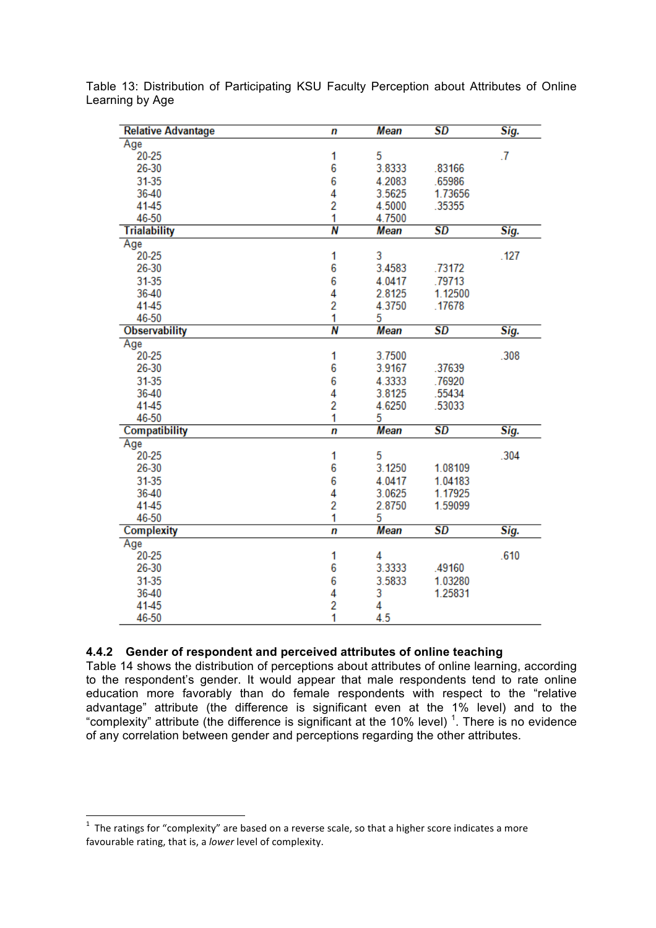| <b>Relative Advantage</b> | n              | <b>Mean</b> | $\overline{SD}$          | Sig.      |
|---------------------------|----------------|-------------|--------------------------|-----------|
| Age                       |                |             |                          |           |
| $20 - 25$                 | 1              | 5           |                          | $\cdot$ 7 |
| 26-30                     | 6              | 3.8333      | .83166                   |           |
| 31-35                     | 6              | 4.2083      | .65986                   |           |
| 36-40                     | 4              | 3.5625      | 1.73656                  |           |
| 41-45                     | 2              | 4.5000      | .35355                   |           |
| 46-50                     | 1              | 4.7500      |                          |           |
| <b>Trialability</b>       | N              | <b>Mean</b> | $\overline{SD}$          | Sig.      |
| Age                       |                |             |                          |           |
| $20 - 25$                 | 1              | 3           |                          | .127      |
| 26-30                     | 6              | 3.4583      | .73172                   |           |
| 31-35                     | 6              | 4.0417      | .79713                   |           |
| 36-40                     | 4              | 2.8125      | 1.12500                  |           |
| 41-45                     | $\overline{2}$ | 4.3750      | .17678                   |           |
| 46-50                     | 1              | 5           |                          |           |
| <b>Observability</b>      | N              | <b>Mean</b> | SD                       | Sig.      |
| Age                       |                |             |                          |           |
| $20 - 25$                 | 1              | 3.7500      |                          | .308      |
| 26-30                     | 6              | 3.9167      | .37639                   |           |
| 31-35                     | 6              | 4.3333      | .76920                   |           |
| 36-40                     | 4              | 3.8125      | .55434                   |           |
| 41-45                     | 2              | 4.6250      | .53033                   |           |
| 46-50                     | 1              | 5           |                          |           |
| Compatibility             | n              | Mean        | SD                       | Sig.      |
| Age                       |                |             |                          |           |
| $20 - 25$                 | 1              | 5           |                          | .304      |
| 26-30                     | 6              | 3.1250      | 1.08109                  |           |
| 31-35                     | 6              | 4.0417      | 1.04183                  |           |
| 36-40                     | 4              | 3.0625      | 1.17925                  |           |
| 41-45                     | $\overline{2}$ | 2.8750      | 1.59099                  |           |
| 46-50                     | 1              | 5           |                          |           |
| <b>Complexity</b>         | n              | Mean        | $\overline{\textit{SD}}$ | Sig.      |
| Age                       |                |             |                          |           |
| $20 - 25$                 | 1              | 4           |                          | .610      |
| 26-30                     | 6              | 3.3333      | .49160                   |           |
| 31-35                     | 6              | 3.5833      | 1.03280                  |           |
| 36-40                     | 4              | 3           | 1.25831                  |           |
| 41-45                     | 2              | 4           |                          |           |
| 46-50                     | 1              | 4.5         |                          |           |

Table 13: Distribution of Participating KSU Faculty Perception about Attributes of Online Learning by Age

### **4.4.2 Gender of respondent and perceived attributes of online teaching**

Table 14 shows the distribution of perceptions about attributes of online learning, according to the respondent's gender. It would appear that male respondents tend to rate online education more favorably than do female respondents with respect to the "relative advantage" attribute (the difference is significant even at the 1% level) and to the "complexity" attribute (the difference is significant at the 10% level)  $1$ . There is no evidence of any correlation between gender and perceptions regarding the other attributes.

<u> 1989 - Johann Stein, mars et al. 1989 - Anna ann an t-Anna ann an t-Anna ann an t-Anna ann an t-Anna ann an t-</u>

<sup>&</sup>lt;sup>1</sup> The ratings for "complexity" are based on a reverse scale, so that a higher score indicates a more favourable rating, that is, a *lower* level of complexity.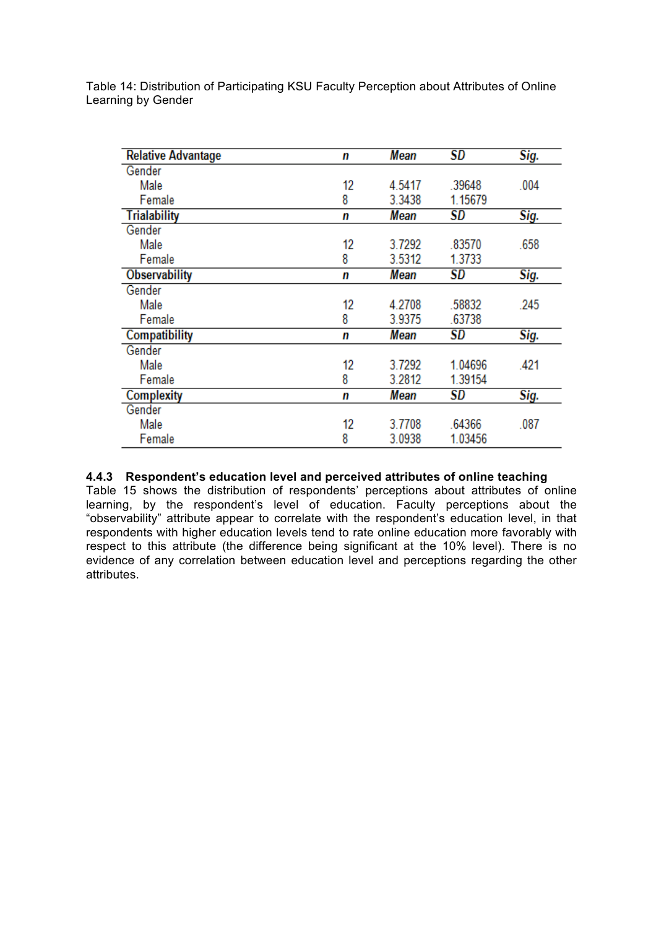| <b>Relative Advantage</b> | n           | Mean   | <b>SD</b> | Sig. |
|---------------------------|-------------|--------|-----------|------|
| Gender                    |             |        |           |      |
| Male                      | 12          | 4.5417 | .39648    | .004 |
| Female                    | 8<br>3.3438 |        | 1.15679   |      |
| <b>Trialability</b>       | n           | Mean   | <b>SD</b> | Sig. |
| Gender                    |             |        |           |      |
| Male                      | 12          | 3.7292 | .83570    | .658 |
| Female                    | 8           | 3.5312 | 1.3733    |      |
| <b>Observability</b>      | n           | Mean   | SD        | Sig. |
| Gender                    |             |        |           |      |
| Male                      | 12          | 4.2708 | .58832    | .245 |
| Female                    | 8           | 3.9375 | .63738    |      |
| Compatibility             | n           | Mean   | SD        | Sig. |
| Gender                    |             |        |           |      |
| Male                      | 12          | 3.7292 | 1.04696   | .421 |
| Female                    | 8           | 3.2812 | 1.39154   |      |
| <b>Complexity</b>         | n           | Mean   | SD        | Sig. |
| Gender                    |             |        |           |      |
| Male                      | 12          | 3.7708 | .64366    | .087 |
| Female                    | 8           | 3.0938 | 1.03456   |      |

Table 14: Distribution of Participating KSU Faculty Perception about Attributes of Online Learning by Gender

## **4.4.3 Respondent's education level and perceived attributes of online teaching**

Table 15 shows the distribution of respondents' perceptions about attributes of online learning, by the respondent's level of education. Faculty perceptions about the "observability" attribute appear to correlate with the respondent's education level, in that respondents with higher education levels tend to rate online education more favorably with respect to this attribute (the difference being significant at the 10% level). There is no evidence of any correlation between education level and perceptions regarding the other attributes.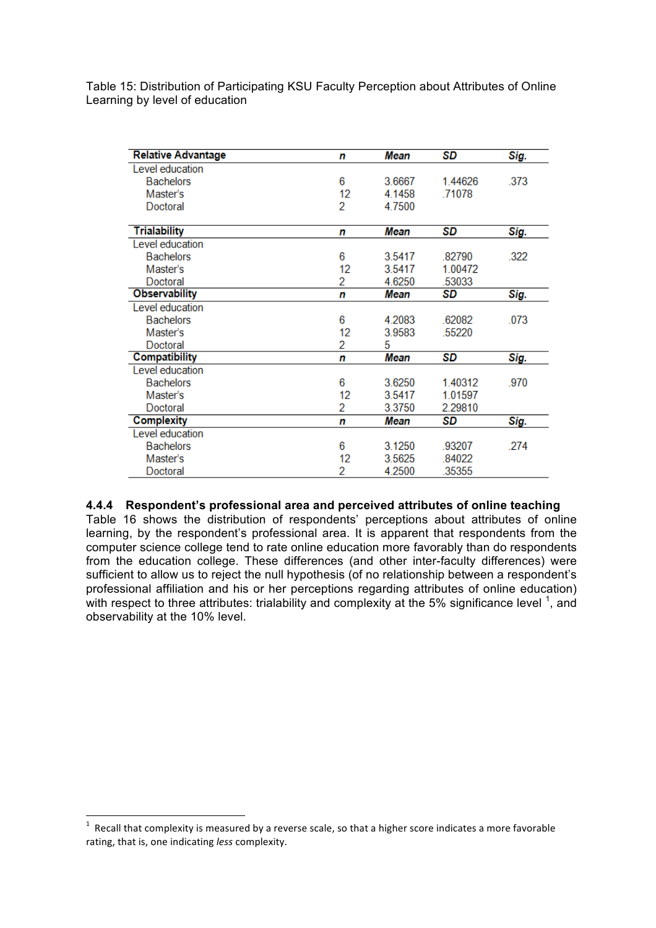Table 15: Distribution of Participating KSU Faculty Perception about Attributes of Online Learning by level of education

| <b>Relative Advantage</b><br>Mean<br>n |    |                   | SD      | Sig. |
|----------------------------------------|----|-------------------|---------|------|
| Level education                        |    |                   |         |      |
| <b>Bachelors</b>                       | 6  | 3.6667<br>1.44626 |         | .373 |
| Master's                               | 12 | 4.1458            | .71078  |      |
| Doctoral                               | 2  | 4.7500            |         |      |
| <b>Trialability</b>                    | n  | Mean              | SD      | Sig. |
| Level education                        |    |                   |         |      |
| <b>Bachelors</b>                       | 6  | 3.5417            | .82790  | .322 |
| Master's                               | 12 | 3.5417            | 1.00472 |      |
| Doctoral                               | 2  | 4.6250            | .53033  |      |
| <b>Observability</b>                   | n  | Mean              | SD      | Sig. |
| Level education                        |    |                   |         |      |
| <b>Bachelors</b>                       | 6  | 4.2083<br>.62082  |         | .073 |
| Master's                               | 12 | 3.9583            | .55220  |      |
| Doctoral                               | 2  | 5                 |         |      |
| <b>Compatibility</b>                   | n  | <b>Mean</b>       | SD      | Sig. |
| Level education                        |    |                   |         |      |
| <b>Bachelors</b>                       | 6  | 3.6250            | 1.40312 | .970 |
| Master's                               | 12 | 1.01597<br>3.5417 |         |      |
| Doctoral                               | 2  | 3.3750            | 2.29810 |      |
| <b>Complexity</b>                      | n  | Mean              | SD      | Sig. |
| Level education                        |    |                   |         |      |
| <b>Bachelors</b>                       | 6  | 3.1250            | .93207  | .274 |
| Master's                               | 12 | 3.5625            | .84022  |      |
| Doctoral                               | 2  | 4.2500            | .35355  |      |

### **4.4.4 Respondent's professional area and perceived attributes of online teaching**

Table 16 shows the distribution of respondents' perceptions about attributes of online learning, by the respondent's professional area. It is apparent that respondents from the computer science college tend to rate online education more favorably than do respondents from the education college. These differences (and other inter-faculty differences) were sufficient to allow us to reject the null hypothesis (of no relationship between a respondent's professional affiliation and his or her perceptions regarding attributes of online education) with respect to three attributes: trialability and complexity at the 5% significance level  $^1$ , and observability at the 10% level.

<u> 1989 - Johann Stein, mars et al. 1989 - Anna ann an t-Anna ann an t-Anna ann an t-Anna ann an t-Anna ann an t-</u>

 $^1$  Recall that complexity is measured by a reverse scale, so that a higher score indicates a more favorable rating,
that
is,
one
indicating *less*complexity.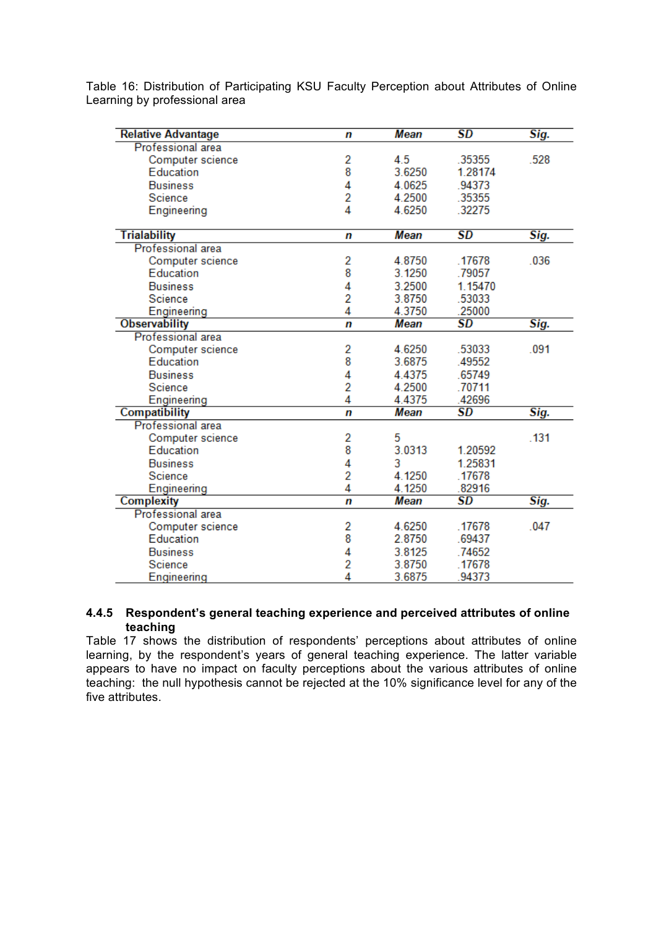| <b>Relative Advantage</b> | n              | Mean        | $\overline{SD}$        | Sig. |
|---------------------------|----------------|-------------|------------------------|------|
| <b>Professional area</b>  |                |             |                        |      |
| Computer science          | 2              | 4.5         | .35355                 | .528 |
| Education                 | 8              | 3.6250      | 1.28174                |      |
| <b>Business</b>           | 4              | 4.0625      | .94373                 |      |
| Science                   | $\overline{2}$ | 4.2500      | .35355                 |      |
| Engineering               | 4              | 4.6250      | .32275                 |      |
|                           |                |             |                        |      |
| <b>Trialability</b>       | n              | Mean        | SD                     | Sig. |
| <b>Professional area</b>  |                |             |                        |      |
| Computer science          | 2              | 4.8750      | .17678                 | .036 |
| Education                 | 8              | 3.1250      | .79057                 |      |
| <b>Business</b>           | 4              | 3.2500      | 1.15470                |      |
| Science                   | $\overline{2}$ | 3.8750      | .53033                 |      |
| Engineering               | 4              | 4.3750      | .25000                 |      |
| <b>Observability</b>      | n              | Mean        | $\overline{\text{SD}}$ | Sig. |
| Professional area         |                |             |                        |      |
| Computer science          | 2              | 4.6250      | .53033                 | .091 |
| Education                 | 8              | 3.6875      | .49552                 |      |
| <b>Business</b>           | 4              | 4.4375      | .65749                 |      |
| Science                   | 2              | 4.2500      | .70711                 |      |
| Engineering               | 4              | 4.4375      | .42696                 |      |
| <b>Compatibility</b>      | n              | <b>Mean</b> | $\overline{\text{SD}}$ | Sig. |
| Professional area         |                |             |                        |      |
| Computer science          | 2              | 5           |                        | .131 |
| Education                 | 8              | 3.0313      | 1.20592                |      |
| <b>Business</b>           | 4              | 3           | 1.25831                |      |
| Science                   | 2              | 4.1250      | .17678                 |      |
| Engineering               | 4              | 4.1250      | .82916                 |      |
| <b>Complexity</b>         | n              | Mean        | SD                     | Sig. |
| <b>Professional area</b>  |                |             |                        |      |
| Computer science          | 2              | 4.6250      | .17678                 | .047 |
| Education                 | 8              | 2.8750      | .69437                 |      |
| <b>Business</b>           | 4              | 3.8125      | .74652                 |      |
| Science                   | 2              | 3.8750      | .17678                 |      |
| Engineering               | 4              | 3.6875      | 94373                  |      |

Table 16: Distribution of Participating KSU Faculty Perception about Attributes of Online Learning by professional area

### **4.4.5 Respondent's general teaching experience and perceived attributes of online teaching**

Table 17 shows the distribution of respondents' perceptions about attributes of online learning, by the respondent's years of general teaching experience. The latter variable appears to have no impact on faculty perceptions about the various attributes of online teaching: the null hypothesis cannot be rejected at the 10% significance level for any of the five attributes.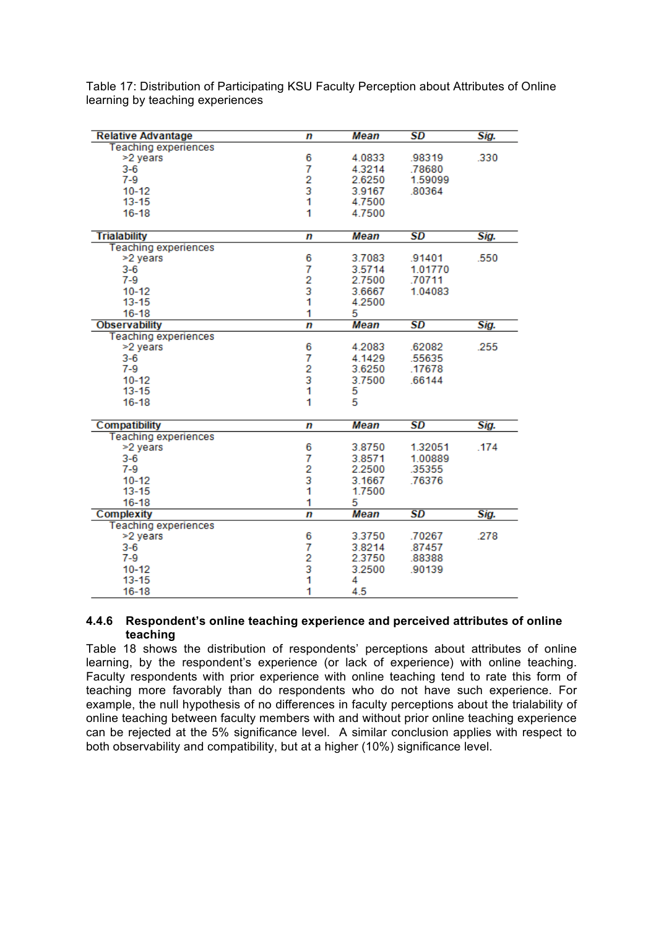| <b>Relative Advantage</b>   | n                                          | Mean        | SD                       | Sig. |
|-----------------------------|--------------------------------------------|-------------|--------------------------|------|
| <b>Teaching experiences</b> |                                            |             |                          |      |
| >2 years                    | 6                                          | 4.0833      | .98319                   | .330 |
| $3-6$                       | 7                                          | 4.3214      | .78680                   |      |
| $7-9$                       |                                            | 2.6250      | 1.59099                  |      |
| $10 - 12$                   | $\begin{array}{c} 2 \\ 3 \\ 1 \end{array}$ | 3.9167      | .80364                   |      |
| $13 - 15$                   |                                            | 4.7500      |                          |      |
| $16 - 18$                   | 1                                          | 4.7500      |                          |      |
|                             |                                            |             |                          |      |
| <b>Trialability</b>         | n                                          | <b>Mean</b> | SD                       | Sig. |
| <b>Teaching experiences</b> |                                            |             |                          |      |
| >2 years                    | 6                                          | 3.7083      | .91401                   | .550 |
| $3 - 6$                     | 7                                          | 3.5714      | 1.01770                  |      |
| $7-9$                       | $\overline{2}$                             | 2.7500      | .70711                   |      |
| $10 - 12$                   | 3                                          | 3.6667      | 1.04083                  |      |
| $13 - 15$                   | 1                                          | 4.2500      |                          |      |
| $16 - 18$                   | 1                                          | 5           |                          |      |
| <b>Observability</b>        | $\overline{r}$                             | Mean        | <b>SD</b>                | Sig. |
| <b>Teaching experiences</b> |                                            |             |                          |      |
| >2 years                    | 6                                          | 4.2083      | .62082                   | .255 |
| $3-6$                       |                                            | 4.1429      | .55635                   |      |
| $7-9$                       | $\frac{7}{2}$                              | 3.6250      | .17678                   |      |
| $10 - 12$                   |                                            | 3.7500      | .66144                   |      |
| $13 - 15$                   | 1                                          | 5           |                          |      |
| $16 - 18$                   | 1                                          | 5           |                          |      |
|                             |                                            |             |                          |      |
| <b>Compatibility</b>        | n                                          | Mean        | <b>SD</b>                | Sig. |
| <b>Teaching experiences</b> |                                            |             |                          |      |
| >2 years                    | 6                                          | 3.8750      | 1.32051                  | .174 |
| $3-6$                       | 7                                          | 3.8571      | 1.00889                  |      |
| $7-9$                       | $\frac{2}{3}$                              | 2.2500      | 35355                    |      |
| $10 - 12$                   |                                            | 3.1667      | .76376                   |      |
| $13 - 15$                   | 1                                          | 1.7500      |                          |      |
| $16 - 18$                   | 1                                          | 5           |                          |      |
| <b>Complexity</b>           | $\overline{p}$                             | Mean        | $\overline{\textit{SD}}$ | Sig. |
| <b>Teaching experiences</b> |                                            |             |                          |      |
| >2 years                    | 6                                          | 3.3750      | .70267                   | .278 |
| $3-6$                       | 7                                          | 3.8214      | .87457                   |      |
| $7-9$                       |                                            | 2.3750      | .88388                   |      |
| $10 - 12$                   | $\begin{array}{c} 2 \\ 3 \\ 1 \end{array}$ | 3.2500      | .90139                   |      |
| $13 - 15$                   |                                            | 4           |                          |      |
| $16 - 18$                   | 1                                          | 4.5         |                          |      |

Table 17: Distribution of Participating KSU Faculty Perception about Attributes of Online learning by teaching experiences

### **4.4.6 Respondent's online teaching experience and perceived attributes of online teaching**

Table 18 shows the distribution of respondents' perceptions about attributes of online learning, by the respondent's experience (or lack of experience) with online teaching. Faculty respondents with prior experience with online teaching tend to rate this form of teaching more favorably than do respondents who do not have such experience. For example, the null hypothesis of no differences in faculty perceptions about the trialability of online teaching between faculty members with and without prior online teaching experience can be rejected at the 5% significance level. A similar conclusion applies with respect to both observability and compatibility, but at a higher (10%) significance level.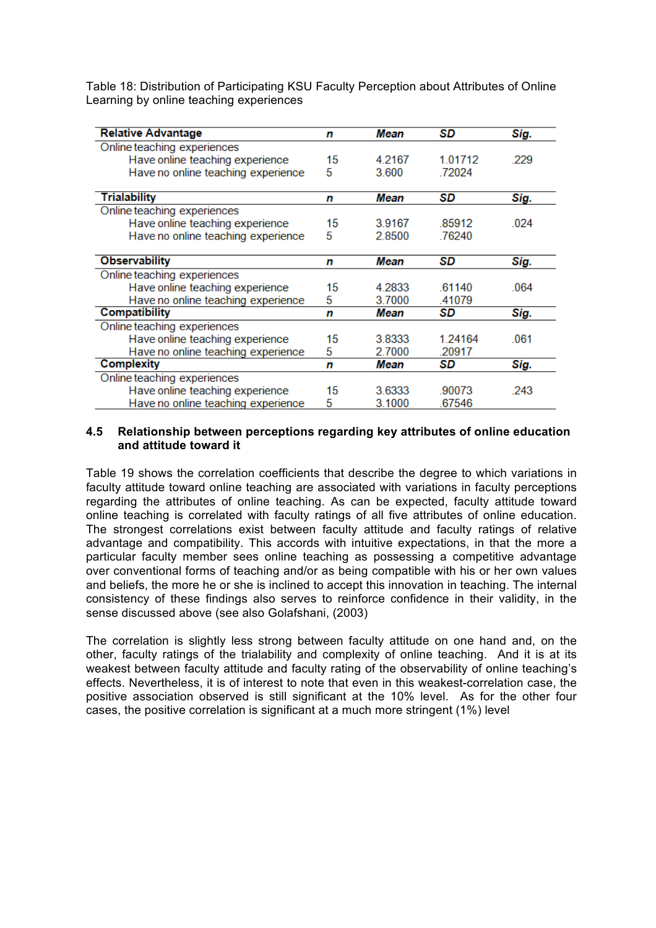Table 18: Distribution of Participating KSU Faculty Perception about Attributes of Online Learning by online teaching experiences

| <b>Relative Advantage</b>          | n  | Mean           | SD      | Sig. |
|------------------------------------|----|----------------|---------|------|
| Online teaching experiences        |    |                |         |      |
| Have online teaching experience    | 15 | 4.2167         | 1.01712 | .229 |
| Have no online teaching experience | 5  | 72024<br>3.600 |         |      |
| <b>Trialability</b>                | n  | Mean           | SD      | Sig. |
| Online teaching experiences        |    |                |         |      |
| Have online teaching experience    | 15 | 3.9167         | 85912   | 024  |
| Have no online teaching experience | 5  | 2.8500         | .76240  |      |
| <b>Observability</b>               | n  | Mean           | SD      | Sig. |
| Online teaching experiences        |    |                |         |      |
| Have online teaching experience    | 15 | 4.2833         | 61140   | .064 |
| Have no online teaching experience | 5  | 3.7000         | .41079  |      |
| <b>Compatibility</b>               | n  | Mean           | SD      | Sig. |
| Online teaching experiences        |    |                |         |      |
| Have online teaching experience    | 15 | 3.8333         | 1.24164 | .061 |
| Have no online teaching experience | 5  | 2.7000         | .20917  |      |
| <b>Complexity</b>                  | n  | Mean           | SD      | Sig. |
| Online teaching experiences        |    |                |         |      |
| Have online teaching experience    | 15 | 3.6333         | .90073  | .243 |
| Have no online teaching experience | 5  | 3.1000         | 67546   |      |

## **4.5 Relationship between perceptions regarding key attributes of online education and attitude toward it**

Table 19 shows the correlation coefficients that describe the degree to which variations in faculty attitude toward online teaching are associated with variations in faculty perceptions regarding the attributes of online teaching. As can be expected, faculty attitude toward online teaching is correlated with faculty ratings of all five attributes of online education. The strongest correlations exist between faculty attitude and faculty ratings of relative advantage and compatibility. This accords with intuitive expectations, in that the more a particular faculty member sees online teaching as possessing a competitive advantage over conventional forms of teaching and/or as being compatible with his or her own values and beliefs, the more he or she is inclined to accept this innovation in teaching. The internal consistency of these findings also serves to reinforce confidence in their validity, in the sense discussed above (see also Golafshani, (2003)

The correlation is slightly less strong between faculty attitude on one hand and, on the other, faculty ratings of the trialability and complexity of online teaching. And it is at its weakest between faculty attitude and faculty rating of the observability of online teaching's effects. Nevertheless, it is of interest to note that even in this weakest-correlation case, the positive association observed is still significant at the 10% level. As for the other four cases, the positive correlation is significant at a much more stringent (1%) level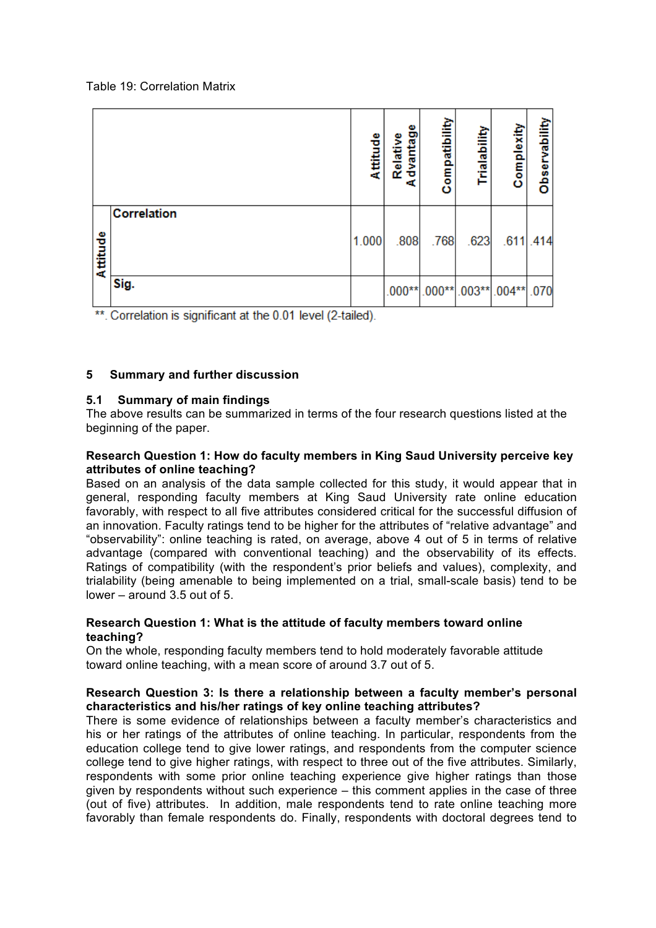### Table 19: Correlation Matrix

|          |                    | Attitude | dvantage<br>Relative<br>Æ | Compatibility | Trialability             | Complexity | Observability |
|----------|--------------------|----------|---------------------------|---------------|--------------------------|------------|---------------|
| Attitude | <b>Correlation</b> | 1.000    | .808                      | .768          | .623                     |            | $.611$ .414   |
|          | Sig.               |          |                           |               | .000**000**003**004**070 |            |               |

\*\*. Correlation is significant at the 0.01 level (2-tailed).

# **5 Summary and further discussion**

# **5.1 Summary of main findings**

The above results can be summarized in terms of the four research questions listed at the beginning of the paper.

## **Research Question 1: How do faculty members in King Saud University perceive key attributes of online teaching?**

Based on an analysis of the data sample collected for this study, it would appear that in general, responding faculty members at King Saud University rate online education favorably, with respect to all five attributes considered critical for the successful diffusion of an innovation. Faculty ratings tend to be higher for the attributes of "relative advantage" and "observability": online teaching is rated, on average, above 4 out of 5 in terms of relative advantage (compared with conventional teaching) and the observability of its effects. Ratings of compatibility (with the respondent's prior beliefs and values), complexity, and trialability (being amenable to being implemented on a trial, small-scale basis) tend to be lower – around  $3.5$  out of  $5$ .

# **Research Question 1: What is the attitude of faculty members toward online teaching?**

On the whole, responding faculty members tend to hold moderately favorable attitude toward online teaching, with a mean score of around 3.7 out of 5.

## **Research Question 3: Is there a relationship between a faculty member's personal characteristics and his/her ratings of key online teaching attributes?**

There is some evidence of relationships between a faculty member's characteristics and his or her ratings of the attributes of online teaching. In particular, respondents from the education college tend to give lower ratings, and respondents from the computer science college tend to give higher ratings, with respect to three out of the five attributes. Similarly, respondents with some prior online teaching experience give higher ratings than those given by respondents without such experience – this comment applies in the case of three (out of five) attributes. In addition, male respondents tend to rate online teaching more favorably than female respondents do. Finally, respondents with doctoral degrees tend to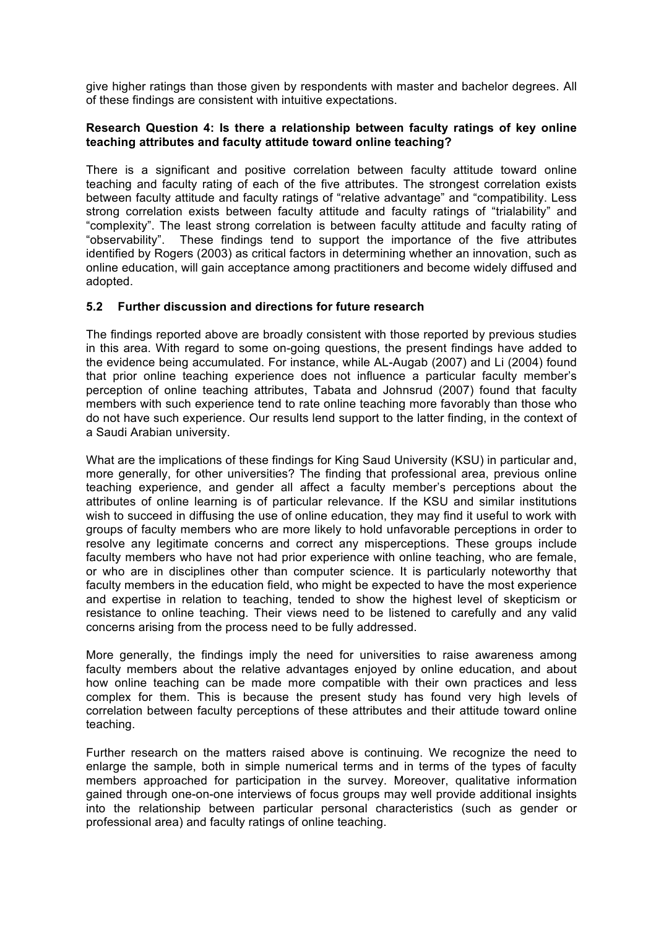give higher ratings than those given by respondents with master and bachelor degrees. All of these findings are consistent with intuitive expectations.

## **Research Question 4: Is there a relationship between faculty ratings of key online teaching attributes and faculty attitude toward online teaching?**

There is a significant and positive correlation between faculty attitude toward online teaching and faculty rating of each of the five attributes. The strongest correlation exists between faculty attitude and faculty ratings of "relative advantage" and "compatibility. Less strong correlation exists between faculty attitude and faculty ratings of "trialability" and "complexity". The least strong correlation is between faculty attitude and faculty rating of "observability". These findings tend to support the importance of the five attributes identified by Rogers (2003) as critical factors in determining whether an innovation, such as online education, will gain acceptance among practitioners and become widely diffused and adopted.

# **5.2 Further discussion and directions for future research**

The findings reported above are broadly consistent with those reported by previous studies in this area. With regard to some on-going questions, the present findings have added to the evidence being accumulated. For instance, while AL-Augab (2007) and Li (2004) found that prior online teaching experience does not influence a particular faculty member's perception of online teaching attributes, Tabata and Johnsrud (2007) found that faculty members with such experience tend to rate online teaching more favorably than those who do not have such experience. Our results lend support to the latter finding, in the context of a Saudi Arabian university.

What are the implications of these findings for King Saud University (KSU) in particular and, more generally, for other universities? The finding that professional area, previous online teaching experience, and gender all affect a faculty member's perceptions about the attributes of online learning is of particular relevance. If the KSU and similar institutions wish to succeed in diffusing the use of online education, they may find it useful to work with groups of faculty members who are more likely to hold unfavorable perceptions in order to resolve any legitimate concerns and correct any misperceptions. These groups include faculty members who have not had prior experience with online teaching, who are female, or who are in disciplines other than computer science. It is particularly noteworthy that faculty members in the education field, who might be expected to have the most experience and expertise in relation to teaching, tended to show the highest level of skepticism or resistance to online teaching. Their views need to be listened to carefully and any valid concerns arising from the process need to be fully addressed.

More generally, the findings imply the need for universities to raise awareness among faculty members about the relative advantages enjoyed by online education, and about how online teaching can be made more compatible with their own practices and less complex for them. This is because the present study has found very high levels of correlation between faculty perceptions of these attributes and their attitude toward online teaching.

Further research on the matters raised above is continuing. We recognize the need to enlarge the sample, both in simple numerical terms and in terms of the types of faculty members approached for participation in the survey. Moreover, qualitative information gained through one-on-one interviews of focus groups may well provide additional insights into the relationship between particular personal characteristics (such as gender or professional area) and faculty ratings of online teaching.